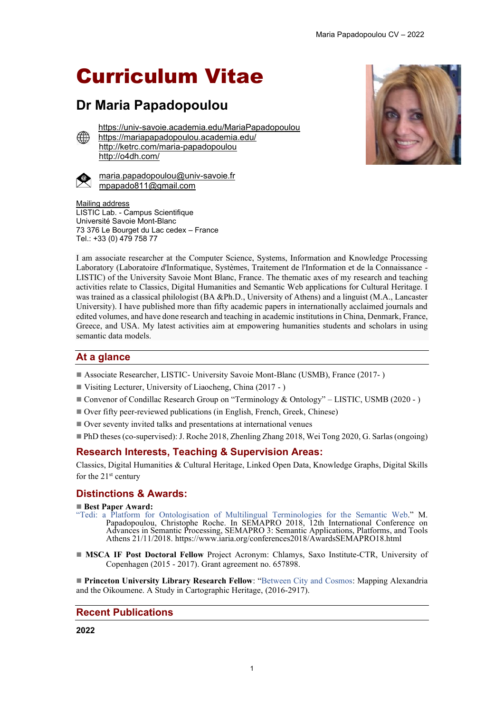# Curriculum Vitae

# **Dr Maria Papadopoulou**

<https://univ-savoie.academia.edu/MariaPapadopoulou> <https://mariapapadopoulou.academia.edu/> <http://ketrc.com/maria-papadopoulou> http://o4dh.com/



maria.papadopoulou@univ-savoie.fr [mpapado811@gmail.com](mailto:mpapado811@gmail.com)

Mailing address LISTIC Lab. - Campus Scientifique Université Savoie Mont-Blanc 73 376 Le Bourget du Lac cedex – France Tel.: +33 (0) 479 758 77

I am associate researcher at the Computer Science, Systems, Information and Knowledge Processing Laboratory (Laboratoire d'Informatique, Systèmes, Traitement de l'Information et de la Connaissance - LISTIC) of the University Savoie Mont Blanc, France. The thematic axes of my research and teaching activities relate to Classics, Digital Humanities and Semantic Web applications for Cultural Heritage. I was trained as a classical philologist (BA &Ph.D., University of Athens) and a linguist (M.A., Lancaster University). I have published more than fifty academic papers in internationally acclaimed journals and edited volumes, and have done research and teaching in academic institutions in China, Denmark, France, Greece, and USA. My latest activities aim at empowering humanities students and scholars in using semantic data models.

# **At a glance**

- Associate Researcher, LISTIC- University Savoie Mont-Blanc (USMB), France (2017-)
- Visiting Lecturer, University of Liaocheng, China (2017 )
- Convenor of [Condillac Research Group](http://new.condillac.org/) on "Terminology & Ontology" LISTIC, USMB (2020 )
- Over fifty peer-reviewed publications (in English, French, Greek, Chinese)
- Over seventy invited talks and presentations at international venues
- PhD theses (co-supervised): J. Roche 2018, Zhenling Zhang 2018, Wei Tong 2020, G. Sarlas (ongoing)

# **Research Interests, Teaching & Supervision Areas:**

Classics, Digital Humanities & Cultural Heritage, Linked Open Data, Knowledge Graphs, Digital Skills for the 21<sup>st</sup> century

# **Distinctions & Awards:**

#### ■ [Best Paper Award:](https://www.iaria.org/conferences2018/awardsSEMAPRO18/semapro2018_a2.pdf)

- "[Tedi: a Platform for Ontologisation of Multilingual Terminologies for the Semantic Web.](https://www.thinkmind.org/download_full.php?instance=SEMAPRO+2018)" M. Papadopoulou, Christophe Roche. In [SEMAPRO 2018,](http://www.iaria.org/conferences2018/ProgramSEMAPRO18.html) 12th International Conference on Advances in Semantic Processing, SEMAPRO 3: Semantic Applications, Platforms, and Tools Athens 21/11/2018. <https://www.iaria.org/conferences2018/AwardsSEMAPRO18.html>
- **MSCA IF Post Doctoral Fellow** Project Acronym: Chlamys, Saxo Institute-CTR, University of Copenhagen (2015 - 2017). Grant agreement no. 657898.

■ **Princeton University Library Research Fellow**: "[Between City and Cosmos:](https://hellenic.princeton.edu/people/maria-papadopoulou) Mapping Alexandria and the Oikoumene. A Study in Cartographic Heritage, (2016-2917).

### **Recent Publications**

**2022**